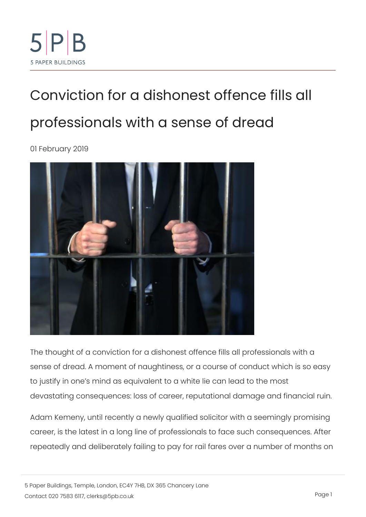## [Conviction for a dishonest of](https://www.5pb.co.uk/blog/conviction-dishonest-offence-fills-all-professionals-sense-dread)fence [professionals with a sens](https://www.5pb.co.uk/blog/conviction-dishonest-offence-fills-all-professionals-sense-dread)e of drea 01 February 2019

The thought of a conviction for a dishonest offence fills all pro sense of dread. A moment of naughtiness, or a course of condu to justify in one s mind as equivalent to a white lie can lead to devastating consequences: loss of career, reputational damage

[Adam Kem](http://www.solicitorstribunal.org.uk/sites/default/files-sdt/11845.2018.Kemeny.pdf)enyntil recently a newly qualified solicitor with a seer career, is the latest in a long line of professionals to face such repeatedly and deliberately failing to pay for rail fares over a r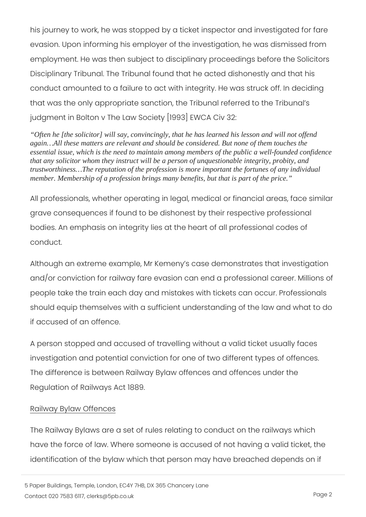his journey to work, he was stopped by a ticket inspector and in evasion. Upon informing his employer of the investigation, he w employment. He was then subject to disciplinary proceedings be Disciplinary Tribunal. The Tribunal found that he acted dishone conduct amounted to a failure to act with integrity. He was stru that was the only appropriate sanction, the Tribunal referred to judgment in Bolton v The Law Society [1993] EWCA Civ 32:

"Often he [the solicitor] will say, convincingly, that he has learned his lesson and will not offend again…All these matters are relevant and should be considered. But none of them touches the essential issue, which is the need to maintain among members of the public a well-founded confidence that any solicitor whom they instruct will be a person of unquestionable integrity, probity, and trustworthiness…The reputation of the profession is more important the fortunes of any individual member. Membership of a profession brings many benefits, but that is part of the price."

All professionals, whether operating in legal, medical or financi grave consequences if found to be dishonest by their respective bodies. An emphasis on integrity lies at the heart of all profess conduct.

Although an extreme example, Mr Kemeny s case demonstrates and/or conviction for railway fare evasion can end a profession people take the train each day and mistakes with tickets can oc should equip themselves with a sufficient understanding of the if accused of an offence.

A person stopped and accused of travelling without a valid tick investigation and potential conviction for one of two different t The difference is between Railway Bylaw offences and offences Regulation of Railways Act 1889.

## Railway Bylaw Offences

[The Railway B](https://assets.publishing.service.gov.uk/government/uploads/system/uploads/attachment_data/file/4202/railway-byelaws.pdf)alawas set of rules relating to conduct on the railw have the force of law. Where someone is accused of not having identification of the bylaw which that person may have breached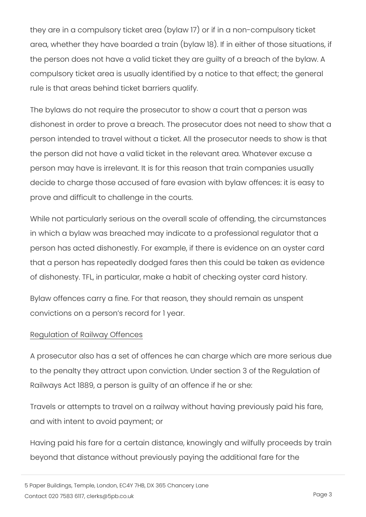they are in a compulsory ticket area (bylaw 17) or if in a non-com area, whether they have boarded a train (bylaw 18). If in either the person does not have a valid ticket they are guilty of a breach of the  $i$ compulsory ticket area is usually identified by a notice to that rule is that areas behind ticket barriers qualify.

The bylaws do not require the prosecutor to show a court that a dishonest in order to prove a breach. The prosecutor does not r person intended to travel without a ticket. All the prosecutor ne the person did not have a valid ticket in the relevant area. Wha person may have is irrelevant. It is for this reason that train co decide to charge those accused of fare evasion with bylaw offer prove and difficult to challenge in the courts.

While not particularly serious on the overall scale of offending, in which a bylaw was breached may indicate to a professional r person has acted dishonestly. For example, if there is evidence that a person has repeatedly dodged fares then this could be ta of dishonesty. TFL, in particular, make a habit of checking oyst

Bylaw offences carry a fine. For that reason, they should remain convictions on a person s record for 1 year.

## Regulation of Railway Offences

A prosecutor also has a set of offences he can charge which are to the penalty they attract upon conviction. Under section 3 of Railways Act 1889, a person is guilty of an offence if he or she:

Travels or attempts to travel on a railway without having previo and with intent to avoid payment; or

Having paid his fare for a certain distance, knowingly and wilful beyond that distance without previously paying the additional fa